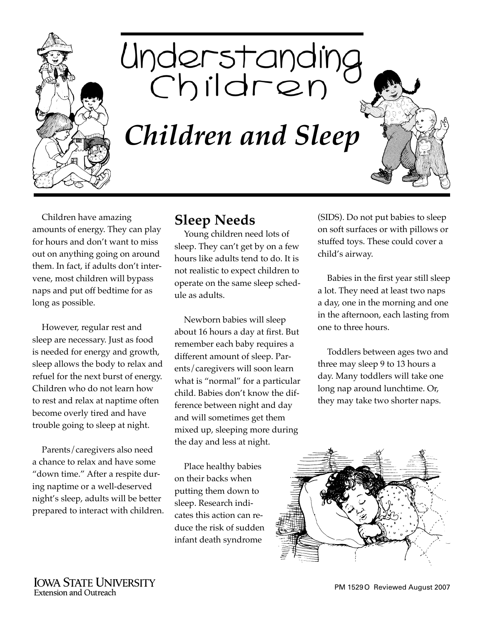

Understanding<br>Children *Children and Sleep*

Children have amazing amounts of energy. They can play for hours and don't want to miss out on anything going on around them. In fact, if adults don't intervene, most children will bypass naps and put off bedtime for as long as possible.

However, regular rest and sleep are necessary. Just as food is needed for energy and growth, sleep allows the body to relax and refuel for the next burst of energy. Children who do not learn how to rest and relax at naptime often become overly tired and have trouble going to sleep at night.

Parents/caregivers also need a chance to relax and have some "down time." After a respite during naptime or a well-deserved night's sleep, adults will be better prepared to interact with children.

## **Sleep Needs**

Young children need lots of sleep. They can't get by on a few hours like adults tend to do. It is not realistic to expect children to operate on the same sleep schedule as adults.

Newborn babies will sleep about 16 hours a day at first. But remember each baby requires a different amount of sleep. Parents/caregivers will soon learn what is "normal" for a particular child. Babies don't know the difference between night and day and will sometimes get them mixed up, sleeping more during the day and less at night.

Place healthy babies on their backs when putting them down to sleep. Research indicates this action can reduce the risk of sudden infant death syndrome

(SIDS). Do not put babies to sleep on soft surfaces or with pillows or stuffed toys. These could cover a child's airway.

Babies in the first year still sleep a lot. They need at least two naps a day, one in the morning and one in the afternoon, each lasting from one to three hours.

Toddlers between ages two and three may sleep 9 to 13 hours a day. Many toddlers will take one long nap around lunchtime. Or, they may take two shorter naps.

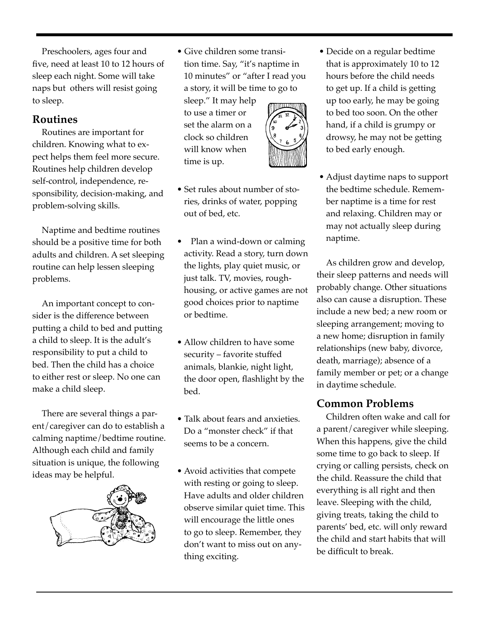Preschoolers, ages four and five, need at least 10 to 12 hours of sleep each night. Some will take naps but others will resist going to sleep.

## **Routines**

Routines are important for children. Knowing what to expect helps them feel more secure. Routines help children develop self-control, independence, responsibility, decision-making, and problem-solving skills.

Naptime and bedtime routines should be a positive time for both adults and children. A set sleeping routine can help lessen sleeping problems.

An important concept to consider is the difference between putting a child to bed and putting a child to sleep. It is the adult's responsibility to put a child to bed. Then the child has a choice to either rest or sleep. No one can make a child sleep.

There are several things a parent/caregiver can do to establish a calming naptime/bedtime routine. Although each child and family situation is unique, the following ideas may be helpful.



• Give children some transition time. Say, "it's naptime in 10 minutes" or "after I read you a story, it will be time to go to sleep." It may help

to use a timer or set the alarm on a clock so children will know when time is up.

- 
- Set rules about number of stories, drinks of water, popping out of bed, etc.
- Plan a wind-down or calming activity. Read a story, turn down the lights, play quiet music, or just talk. TV, movies, roughhousing, or active games are not good choices prior to naptime or bedtime.
- Allow children to have some security – favorite stuffed animals, blankie, night light, the door open, flashlight by the bed.
- Talk about fears and anxieties. Do a "monster check" if that seems to be a concern.
- Avoid activities that compete with resting or going to sleep. Have adults and older children observe similar quiet time. This will encourage the little ones to go to sleep. Remember, they don't want to miss out on anything exciting.
- Decide on a regular bedtime that is approximately 10 to 12 hours before the child needs to get up. If a child is getting up too early, he may be going to bed too soon. On the other hand, if a child is grumpy or drowsy, he may not be getting to bed early enough.
- Adjust daytime naps to support the bedtime schedule. Remember naptime is a time for rest and relaxing. Children may or may not actually sleep during naptime.

As children grow and develop, their sleep patterns and needs will probably change. Other situations also can cause a disruption. These include a new bed; a new room or sleeping arrangement; moving to a new home; disruption in family relationships (new baby, divorce, death, marriage); absence of a family member or pet; or a change in daytime schedule.

## **Common Problems**

Children often wake and call for a parent/caregiver while sleeping. When this happens, give the child some time to go back to sleep. If crying or calling persists, check on the child. Reassure the child that everything is all right and then leave. Sleeping with the child, giving treats, taking the child to parents' bed, etc. will only reward the child and start habits that will be difficult to break.